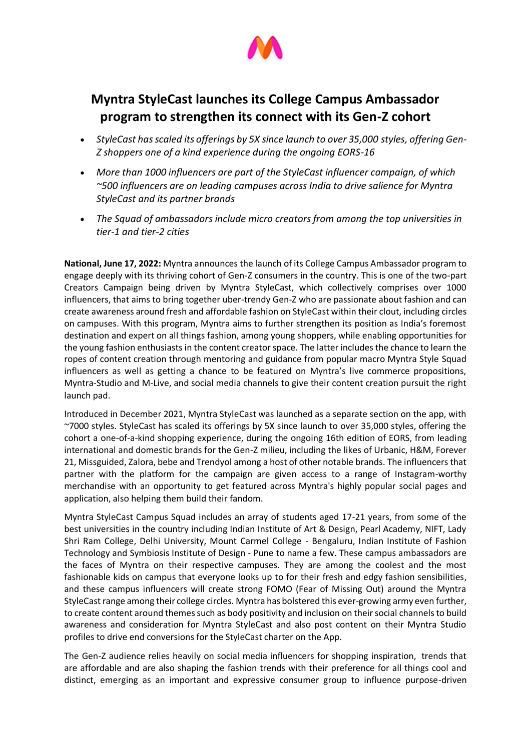

## **Myntra StyleCast launches its College Campus Ambassador program to strengthen its connect with its Gen-Z cohort**

- *StyleCast has scaled its offerings by 5X since launch to over 35,000 styles, offering Gen-Z shoppers one of a kind experience during the ongoing EORS-16*
- *More than 1000 influencers are part of the StyleCast influencer campaign, of which ~500 influencers are on leading campuses across India to drive salience for Myntra StyleCast and its partner brands*
- *The Squad of ambassadors include micro creators from among the top universities in tier-1 and tier-2 cities*

**National, June 17, 2022:** Myntra announces the launch of its College Campus Ambassador program to engage deeply with its thriving cohort of Gen-Z consumers in the country. This is one of the two-part Creators Campaign being driven by Myntra StyleCast, which collectively comprises over 1000 influencers, that aims to bring together uber-trendy Gen-Z who are passionate about fashion and can create awareness around fresh and affordable fashion on StyleCast within their clout, including circles on campuses. With this program, Myntra aims to further strengthen its position as India's foremost destination and expert on all things fashion, among young shoppers, while enabling opportunities for the young fashion enthusiasts in the content creator space. The latter includes the chance to learn the ropes of content creation through mentoring and guidance from popular macro Myntra Style Squad influencers as well as getting a chance to be featured on Myntra's live commerce propositions, Myntra-Studio and M-Live, and social media channels to give their content creation pursuit the right launch pad.

Introduced in December 2021, Myntra StyleCast was launched as a separate section on the app, with ~7000 styles. StyleCast has scaled its offerings by 5X since launch to over 35,000 styles, offering the cohort a one-of-a-kind shopping experience, during the ongoing 16th edition of EORS, from leading international and domestic brands for the Gen-Z milieu, including the likes of Urbanic, H&M, Forever 21, Missguided, Zalora, bebe and Trendyol among a host of other notable brands. The influencers that partner with the platform for the campaign are given access to a range of Instagram-worthy merchandise with an opportunity to get featured across Myntra's highly popular social pages and application, also helping them build their fandom.

Myntra StyleCast Campus Squad includes an array of students aged 17-21 years, from some of the best universities in the country including Indian Institute of Art & Design, Pearl Academy, NIFT, Lady Shri Ram College, Delhi University, Mount Carmel College - Bengaluru, Indian Institute of Fashion Technology and Symbiosis Institute of Design - Pune to name a few. These campus ambassadors are the faces of Myntra on their respective campuses. They are among the coolest and the most fashionable kids on campus that everyone looks up to for their fresh and edgy fashion sensibilities, and these campus influencers will create strong FOMO (Fear of Missing Out) around the Myntra StyleCast range among their college circles. Myntra has bolstered this ever-growing army even further, to create content around themes such as body positivity and inclusion on their social channels to build awareness and consideration for Myntra StyleCast and also post content on their Myntra Studio profiles to drive end conversions for the StyleCast charter on the App.

The Gen-Z audience relies heavily on social media influencers for shopping inspiration, trends that are affordable and are also shaping the fashion trends with their preference for all things cool and distinct, emerging as an important and expressive consumer group to influence purpose-driven